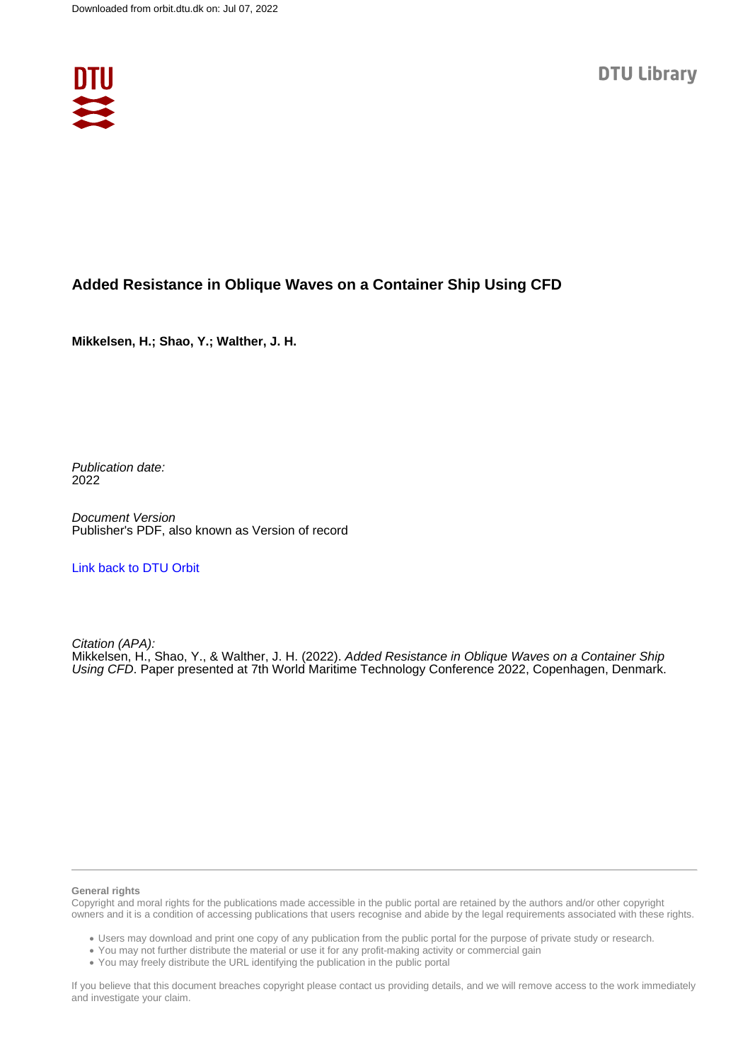

# **Added Resistance in Oblique Waves on a Container Ship Using CFD**

**Mikkelsen, H.; Shao, Y.; Walther, J. H.**

Publication date: 2022

Document Version Publisher's PDF, also known as Version of record

[Link back to DTU Orbit](https://orbit.dtu.dk/en/publications/5a6dd582-843f-480b-8e95-93be2e49a7fb)

Citation (APA): Mikkelsen, H., Shao, Y., & Walther, J. H. (2022). Added Resistance in Oblique Waves on a Container Ship Using CFD. Paper presented at 7th World Maritime Technology Conference 2022, Copenhagen, Denmark.

#### **General rights**

Copyright and moral rights for the publications made accessible in the public portal are retained by the authors and/or other copyright owners and it is a condition of accessing publications that users recognise and abide by the legal requirements associated with these rights.

Users may download and print one copy of any publication from the public portal for the purpose of private study or research.

- You may not further distribute the material or use it for any profit-making activity or commercial gain
- You may freely distribute the URL identifying the publication in the public portal

If you believe that this document breaches copyright please contact us providing details, and we will remove access to the work immediately and investigate your claim.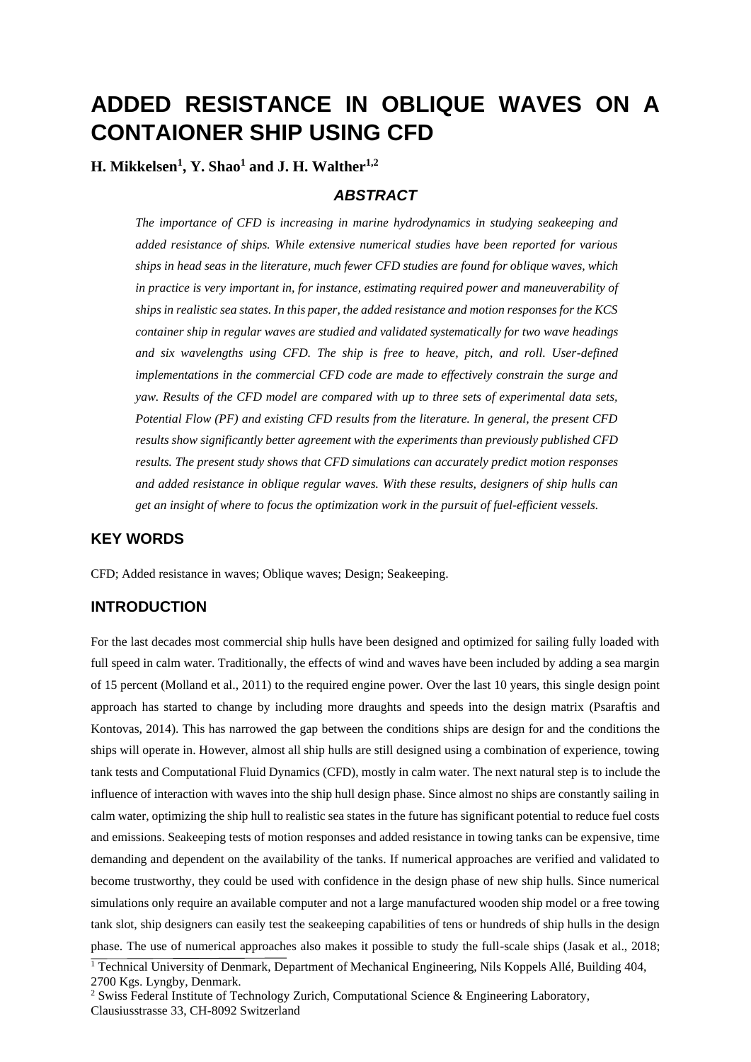# **ADDED RESISTANCE IN OBLIQUE WAVES ON A CONTAIONER SHIP USING CFD**

**H. Mikkelsen<sup>1</sup> , Y. Shao<sup>1</sup> and J. H. Walther1,2**

## *ABSTRACT*

*The importance of CFD is increasing in marine hydrodynamics in studying seakeeping and added resistance of ships. While extensive numerical studies have been reported for various ships in head seas in the literature, much fewer CFD studies are found for oblique waves, which in practice is very important in, for instance, estimating required power and maneuverability of ships in realistic sea states. In this paper, the added resistance and motion responses for the KCS container ship in regular waves are studied and validated systematically for two wave headings and six wavelengths using CFD. The ship is free to heave, pitch, and roll. User-defined implementations in the commercial CFD code are made to effectively constrain the surge and yaw. Results of the CFD model are compared with up to three sets of experimental data sets, Potential Flow (PF) and existing CFD results from the literature. In general, the present CFD results show significantly better agreement with the experiments than previously published CFD results. The present study shows that CFD simulations can accurately predict motion responses and added resistance in oblique regular waves. With these results, designers of ship hulls can get an insight of where to focus the optimization work in the pursuit of fuel-efficient vessels.*

## **KEY WORDS**

CFD; Added resistance in waves; Oblique waves; Design; Seakeeping.

## **INTRODUCTION**

For the last decades most commercial ship hulls have been designed and optimized for sailing fully loaded with full speed in calm water. Traditionally, the effects of wind and waves have been included by adding a sea margin of 15 percent (Molland et al., 2011) to the required engine power. Over the last 10 years, this single design point approach has started to change by including more draughts and speeds into the design matrix (Psaraftis and Kontovas, 2014). This has narrowed the gap between the conditions ships are design for and the conditions the ships will operate in. However, almost all ship hulls are still designed using a combination of experience, towing tank tests and Computational Fluid Dynamics (CFD), mostly in calm water. The next natural step is to include the influence of interaction with waves into the ship hull design phase. Since almost no ships are constantly sailing in calm water, optimizing the ship hull to realistic sea states in the future has significant potential to reduce fuel costs and emissions. Seakeeping tests of motion responses and added resistance in towing tanks can be expensive, time demanding and dependent on the availability of the tanks. If numerical approaches are verified and validated to become trustworthy, they could be used with confidence in the design phase of new ship hulls. Since numerical simulations only require an available computer and not a large manufactured wooden ship model or a free towing tank slot, ship designers can easily test the seakeeping capabilities of tens or hundreds of ship hulls in the design phase. The use of numerical approaches also makes it possible to study the full-scale ships (Jasak et al., 2018;

<sup>&</sup>lt;sup>1</sup> Technical University of Denmark, Department of Mechanical Engineering, Nils Koppels Allé, Building 404, 2700 Kgs. Lyngby, Denmark.

<sup>&</sup>lt;sup>2</sup> Swiss Federal Institute of Technology Zurich, Computational Science & Engineering Laboratory, Clausiusstrasse 33, CH-8092 Switzerland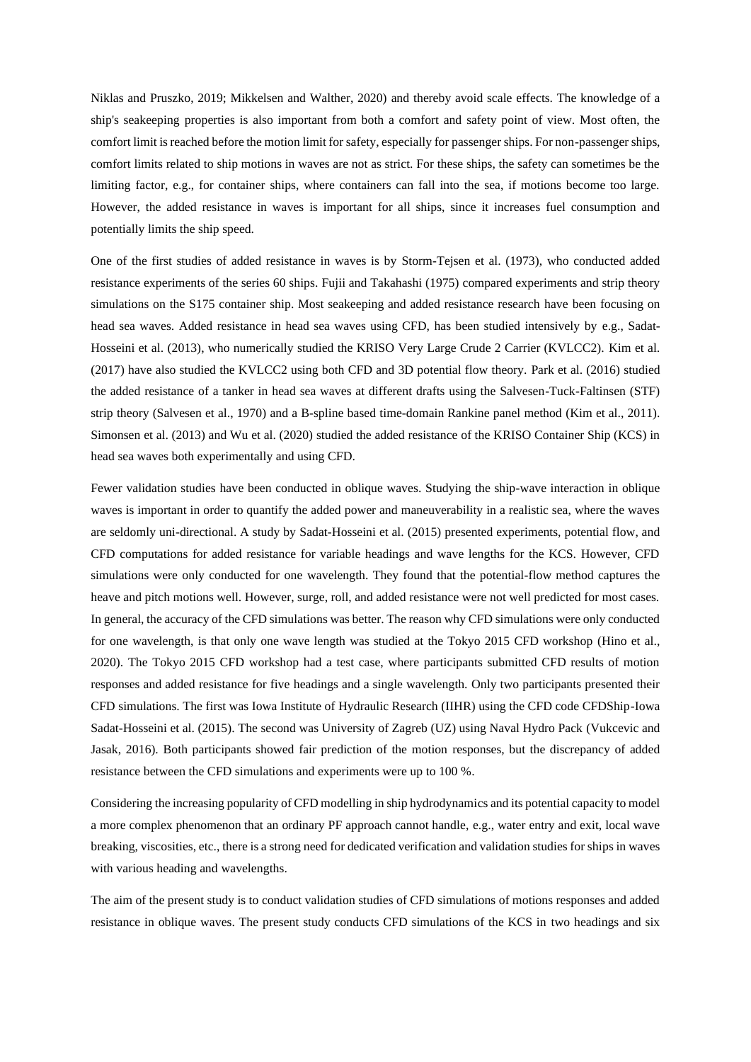Niklas and Pruszko, 2019; Mikkelsen and Walther, 2020) and thereby avoid scale effects. The knowledge of a ship's seakeeping properties is also important from both a comfort and safety point of view. Most often, the comfort limit is reached before the motion limit for safety, especially for passenger ships. For non-passenger ships, comfort limits related to ship motions in waves are not as strict. For these ships, the safety can sometimes be the limiting factor, e.g., for container ships, where containers can fall into the sea, if motions become too large. However, the added resistance in waves is important for all ships, since it increases fuel consumption and potentially limits the ship speed.

One of the first studies of added resistance in waves is by Storm-Tejsen et al. (1973), who conducted added resistance experiments of the series 60 ships. Fujii and Takahashi (1975) compared experiments and strip theory simulations on the S175 container ship. Most seakeeping and added resistance research have been focusing on head sea waves. Added resistance in head sea waves using CFD, has been studied intensively by e.g., Sadat-Hosseini et al. (2013), who numerically studied the KRISO Very Large Crude 2 Carrier (KVLCC2). Kim et al. (2017) have also studied the KVLCC2 using both CFD and 3D potential flow theory. Park et al. (2016) studied the added resistance of a tanker in head sea waves at different drafts using the Salvesen-Tuck-Faltinsen (STF) strip theory (Salvesen et al., 1970) and a B-spline based time-domain Rankine panel method (Kim et al., 2011). Simonsen et al. (2013) and Wu et al. (2020) studied the added resistance of the KRISO Container Ship (KCS) in head sea waves both experimentally and using CFD.

Fewer validation studies have been conducted in oblique waves. Studying the ship-wave interaction in oblique waves is important in order to quantify the added power and maneuverability in a realistic sea, where the waves are seldomly uni-directional. A study by Sadat-Hosseini et al. (2015) presented experiments, potential flow, and CFD computations for added resistance for variable headings and wave lengths for the KCS. However, CFD simulations were only conducted for one wavelength. They found that the potential-flow method captures the heave and pitch motions well. However, surge, roll, and added resistance were not well predicted for most cases. In general, the accuracy of the CFD simulations was better. The reason why CFD simulations were only conducted for one wavelength, is that only one wave length was studied at the Tokyo 2015 CFD workshop (Hino et al., 2020). The Tokyo 2015 CFD workshop had a test case, where participants submitted CFD results of motion responses and added resistance for five headings and a single wavelength. Only two participants presented their CFD simulations. The first was Iowa Institute of Hydraulic Research (IIHR) using the CFD code CFDShip-Iowa Sadat-Hosseini et al. (2015). The second was University of Zagreb (UZ) using Naval Hydro Pack (Vukcevic and Jasak, 2016). Both participants showed fair prediction of the motion responses, but the discrepancy of added resistance between the CFD simulations and experiments were up to 100 %.

Considering the increasing popularity of CFD modelling in ship hydrodynamics and its potential capacity to model a more complex phenomenon that an ordinary PF approach cannot handle, e.g., water entry and exit, local wave breaking, viscosities, etc., there is a strong need for dedicated verification and validation studies for ships in waves with various heading and wavelengths.

The aim of the present study is to conduct validation studies of CFD simulations of motions responses and added resistance in oblique waves. The present study conducts CFD simulations of the KCS in two headings and six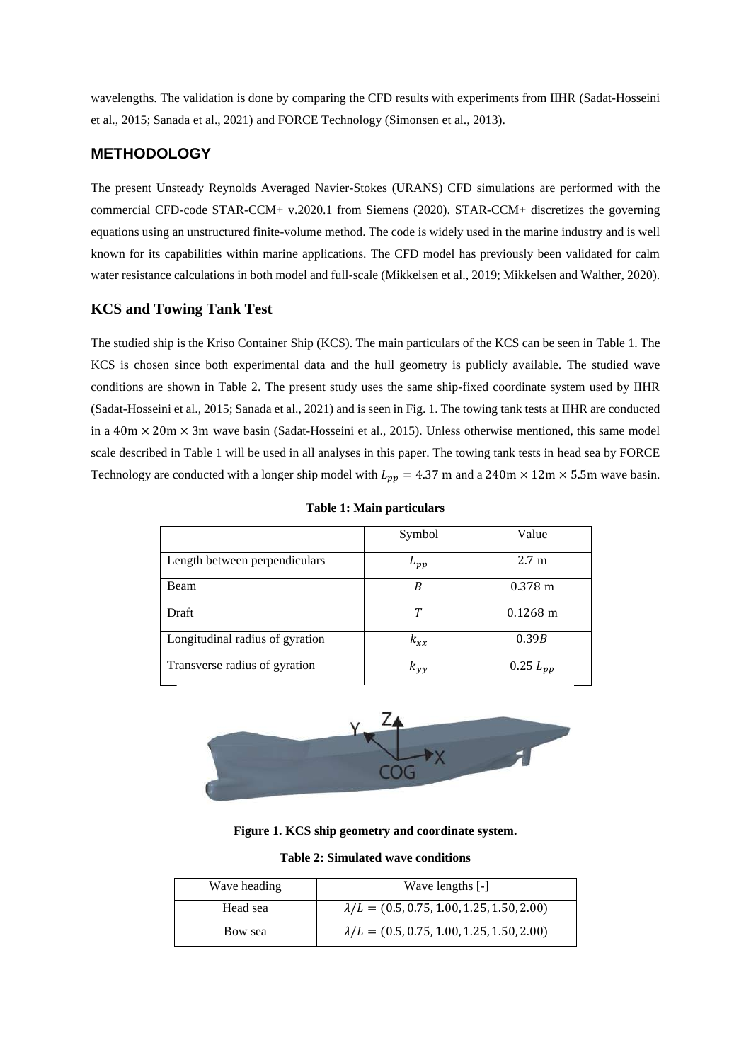wavelengths. The validation is done by comparing the CFD results with experiments from IIHR (Sadat-Hosseini et al., 2015; Sanada et al., 2021) and FORCE Technology (Simonsen et al., 2013).

## **METHODOLOGY**

The present Unsteady Reynolds Averaged Navier-Stokes (URANS) CFD simulations are performed with the commercial CFD-code STAR-CCM+ v.2020.1 from Siemens (2020). STAR-CCM+ discretizes the governing equations using an unstructured finite-volume method. The code is widely used in the marine industry and is well known for its capabilities within marine applications. The CFD model has previously been validated for calm water resistance calculations in both model and full-scale (Mikkelsen et al., 2019; Mikkelsen and Walther, 2020).

## **KCS and Towing Tank Test**

The studied ship is the Kriso Container Ship (KCS). The main particulars of the KCS can be seen in Table 1. The KCS is chosen since both experimental data and the hull geometry is publicly available. The studied wave conditions are shown in Table 2. The present study uses the same ship-fixed coordinate system used by IIHR (Sadat-Hosseini et al., 2015; Sanada et al., 2021) and is seen in Fig. 1. The towing tank tests at IIHR are conducted in a  $40m \times 20m \times 3m$  wave basin (Sadat-Hosseini et al., 2015). Unless otherwise mentioned, this same model scale described in Table 1 will be used in all analyses in this paper. The towing tank tests in head sea by FORCE Technology are conducted with a longer ship model with  $L_{pp} = 4.37$  m and a 240m  $\times$  12m  $\times$  5.5m wave basin.

|                                 | Symbol       | Value              |
|---------------------------------|--------------|--------------------|
| Length between perpendiculars   | $L_{pp}$     | 2.7 <sub>m</sub>   |
| Beam                            | В            | $0.378 \text{ m}$  |
| Draft                           | Т            | $0.1268 \text{ m}$ |
| Longitudinal radius of gyration | $k_{rr}$     | 0.39B              |
| Transverse radius of gyration   | $k_{\nu\nu}$ | $0.25 L_{pp}$      |

|  |  |  | <b>Table 1: Main particulars</b> |  |
|--|--|--|----------------------------------|--|
|--|--|--|----------------------------------|--|



**Figure 1. KCS ship geometry and coordinate system.**

| <b>Table 2: Simulated wave conditions</b> |  |
|-------------------------------------------|--|
|-------------------------------------------|--|

| Wave heading | Wave lengths [-]                                  |
|--------------|---------------------------------------------------|
| Head sea     | $\lambda/L = (0.5, 0.75, 1.00, 1.25, 1.50, 2.00)$ |
| Bow sea      | $\lambda/L = (0.5, 0.75, 1.00, 1.25, 1.50, 2.00)$ |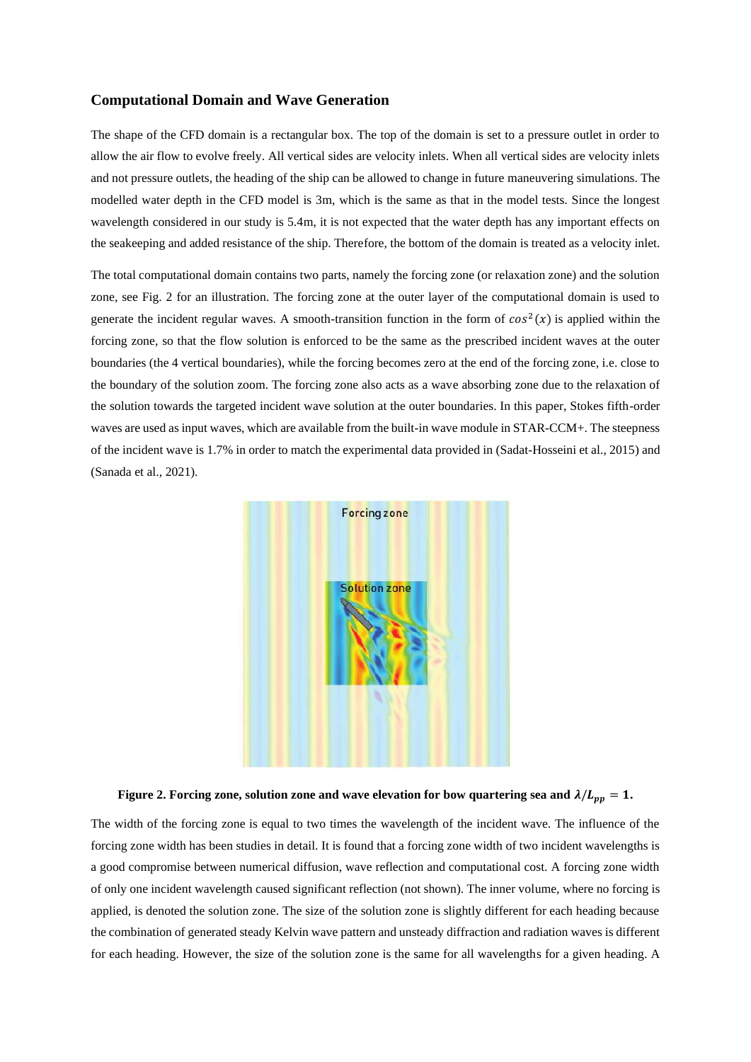#### **Computational Domain and Wave Generation**

The shape of the CFD domain is a rectangular box. The top of the domain is set to a pressure outlet in order to allow the air flow to evolve freely. All vertical sides are velocity inlets. When all vertical sides are velocity inlets and not pressure outlets, the heading of the ship can be allowed to change in future maneuvering simulations. The modelled water depth in the CFD model is 3m, which is the same as that in the model tests. Since the longest wavelength considered in our study is 5.4m, it is not expected that the water depth has any important effects on the seakeeping and added resistance of the ship. Therefore, the bottom of the domain is treated as a velocity inlet.

The total computational domain contains two parts, namely the forcing zone (or relaxation zone) and the solution zone, see Fig. 2 for an illustration. The forcing zone at the outer layer of the computational domain is used to generate the incident regular waves. A smooth-transition function in the form of  $cos<sup>2</sup>(x)$  is applied within the forcing zone, so that the flow solution is enforced to be the same as the prescribed incident waves at the outer boundaries (the 4 vertical boundaries), while the forcing becomes zero at the end of the forcing zone, i.e. close to the boundary of the solution zoom. The forcing zone also acts as a wave absorbing zone due to the relaxation of the solution towards the targeted incident wave solution at the outer boundaries. In this paper, Stokes fifth-order waves are used as input waves, which are available from the built-in wave module in STAR-CCM+. The steepness of the incident wave is 1.7% in order to match the experimental data provided in (Sadat-Hosseini et al., 2015) and (Sanada et al., 2021).



#### **Figure 2. Forcing zone, solution zone and wave elevation for bow quartering sea and**  $\lambda/L_{pp} = 1$ **.**

The width of the forcing zone is equal to two times the wavelength of the incident wave. The influence of the forcing zone width has been studies in detail. It is found that a forcing zone width of two incident wavelengths is a good compromise between numerical diffusion, wave reflection and computational cost. A forcing zone width of only one incident wavelength caused significant reflection (not shown). The inner volume, where no forcing is applied, is denoted the solution zone. The size of the solution zone is slightly different for each heading because the combination of generated steady Kelvin wave pattern and unsteady diffraction and radiation waves is different for each heading. However, the size of the solution zone is the same for all wavelengths for a given heading. A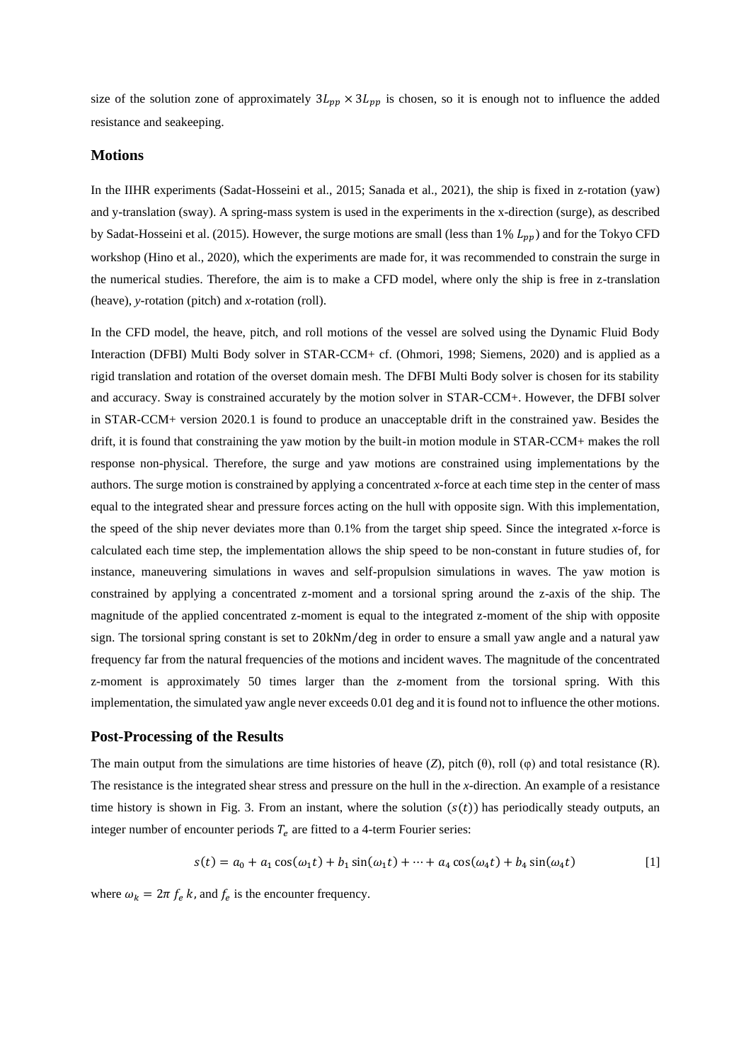size of the solution zone of approximately  $3L_{pp} \times 3L_{pp}$  is chosen, so it is enough not to influence the added resistance and seakeeping.

#### **Motions**

In the IIHR experiments (Sadat-Hosseini et al., 2015; Sanada et al., 2021), the ship is fixed in z-rotation (yaw) and y-translation (sway). A spring-mass system is used in the experiments in the x-direction (surge), as described by Sadat-Hosseini et al. (2015). However, the surge motions are small (less than  $1\%$   $L_{pp}$ ) and for the Tokyo CFD workshop (Hino et al., 2020), which the experiments are made for, it was recommended to constrain the surge in the numerical studies. Therefore, the aim is to make a CFD model, where only the ship is free in z-translation (heave), *y*-rotation (pitch) and *x*-rotation (roll).

In the CFD model, the heave, pitch, and roll motions of the vessel are solved using the Dynamic Fluid Body Interaction (DFBI) Multi Body solver in STAR-CCM+ cf. (Ohmori, 1998; Siemens, 2020) and is applied as a rigid translation and rotation of the overset domain mesh. The DFBI Multi Body solver is chosen for its stability and accuracy. Sway is constrained accurately by the motion solver in STAR-CCM+. However, the DFBI solver in STAR-CCM+ version 2020.1 is found to produce an unacceptable drift in the constrained yaw. Besides the drift, it is found that constraining the yaw motion by the built-in motion module in STAR-CCM+ makes the roll response non-physical. Therefore, the surge and yaw motions are constrained using implementations by the authors. The surge motion is constrained by applying a concentrated *x*-force at each time step in the center of mass equal to the integrated shear and pressure forces acting on the hull with opposite sign. With this implementation, the speed of the ship never deviates more than 0.1% from the target ship speed. Since the integrated *x*-force is calculated each time step, the implementation allows the ship speed to be non-constant in future studies of, for instance, maneuvering simulations in waves and self-propulsion simulations in waves. The yaw motion is constrained by applying a concentrated z-moment and a torsional spring around the z-axis of the ship. The magnitude of the applied concentrated z-moment is equal to the integrated z-moment of the ship with opposite sign. The torsional spring constant is set to 20kNm/deg in order to ensure a small yaw angle and a natural yaw frequency far from the natural frequencies of the motions and incident waves. The magnitude of the concentrated z-moment is approximately 50 times larger than the *z*-moment from the torsional spring. With this implementation, the simulated yaw angle never exceeds 0.01 deg and it is found not to influence the other motions.

#### **Post-Processing of the Results**

The main output from the simulations are time histories of heave  $(Z)$ , pitch  $(\theta)$ , roll  $(\phi)$  and total resistance  $(R)$ . The resistance is the integrated shear stress and pressure on the hull in the *x*-direction. An example of a resistance time history is shown in Fig. 3. From an instant, where the solution  $(s(t))$  has periodically steady outputs, an integer number of encounter periods  $T_e$  are fitted to a 4-term Fourier series:

$$
s(t) = a_0 + a_1 \cos(\omega_1 t) + b_1 \sin(\omega_1 t) + \dots + a_4 \cos(\omega_4 t) + b_4 \sin(\omega_4 t)
$$
 [1]

where  $\omega_k = 2\pi f_e k$ , and  $f_e$  is the encounter frequency.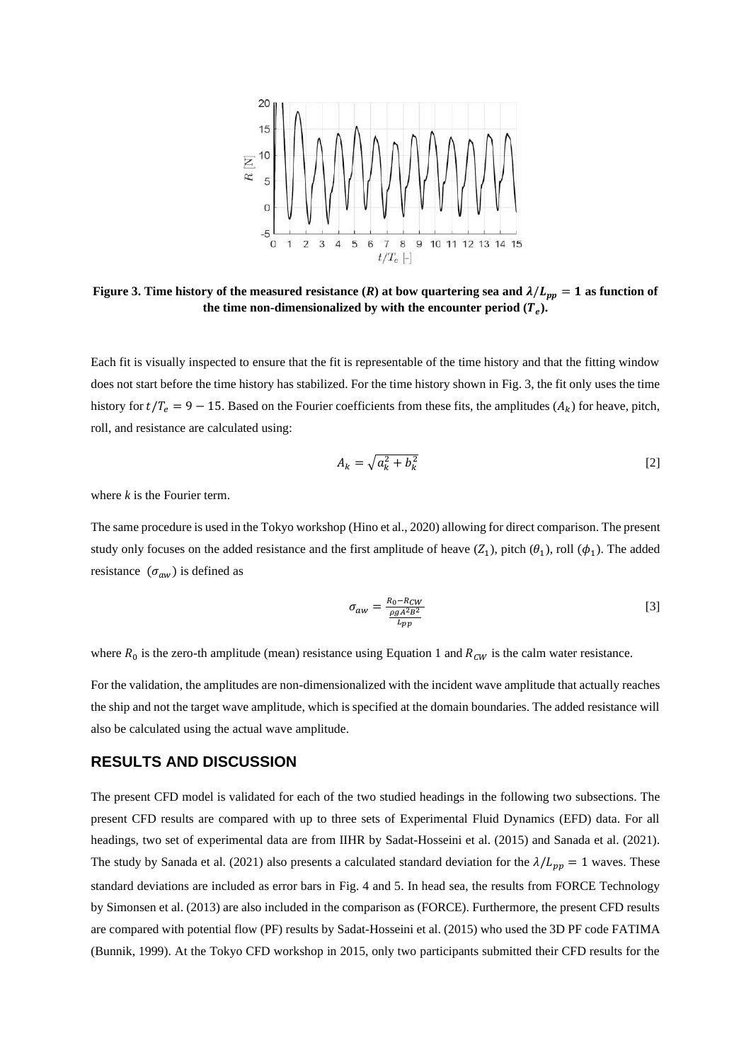

**Figure 3. Time history of the measured resistance (***R***) at bow quartering sea and**  $\lambda/L_{pp} = 1$  **as function of** the time non-dimensionalized by with the encounter period  $(T_e)$ .

Each fit is visually inspected to ensure that the fit is representable of the time history and that the fitting window does not start before the time history has stabilized. For the time history shown in Fig. 3, the fit only uses the time history for  $t/T_e = 9 - 15$ . Based on the Fourier coefficients from these fits, the amplitudes  $(A_k)$  for heave, pitch, roll, and resistance are calculated using:

$$
A_k = \sqrt{a_k^2 + b_k^2} \tag{2}
$$

where *k* is the Fourier term.

The same procedure is used in the Tokyo workshop (Hino et al., 2020) allowing for direct comparison. The present study only focuses on the added resistance and the first amplitude of heave  $(Z_1)$ , pitch  $(\theta_1)$ , roll  $(\phi_1)$ . The added resistance  $(\sigma_{aw})$  is defined as

$$
\sigma_{aw} = \frac{R_0 - R_{CW}}{\frac{\rho g A^2 B^2}{L_{pp}}} \tag{3}
$$

where  $R_0$  is the zero-th amplitude (mean) resistance using Equation 1 and  $R_{CW}$  is the calm water resistance.

For the validation, the amplitudes are non-dimensionalized with the incident wave amplitude that actually reaches the ship and not the target wave amplitude, which is specified at the domain boundaries. The added resistance will also be calculated using the actual wave amplitude.

#### **RESULTS AND DISCUSSION**

The present CFD model is validated for each of the two studied headings in the following two subsections. The present CFD results are compared with up to three sets of Experimental Fluid Dynamics (EFD) data. For all headings, two set of experimental data are from IIHR by Sadat-Hosseini et al. (2015) and Sanada et al. (2021). The study by Sanada et al. (2021) also presents a calculated standard deviation for the  $\lambda/L_{nn} = 1$  waves. These standard deviations are included as error bars in Fig. 4 and 5. In head sea, the results from FORCE Technology by Simonsen et al. (2013) are also included in the comparison as (FORCE). Furthermore, the present CFD results are compared with potential flow (PF) results by Sadat-Hosseini et al. (2015) who used the 3D PF code FATIMA (Bunnik, 1999). At the Tokyo CFD workshop in 2015, only two participants submitted their CFD results for the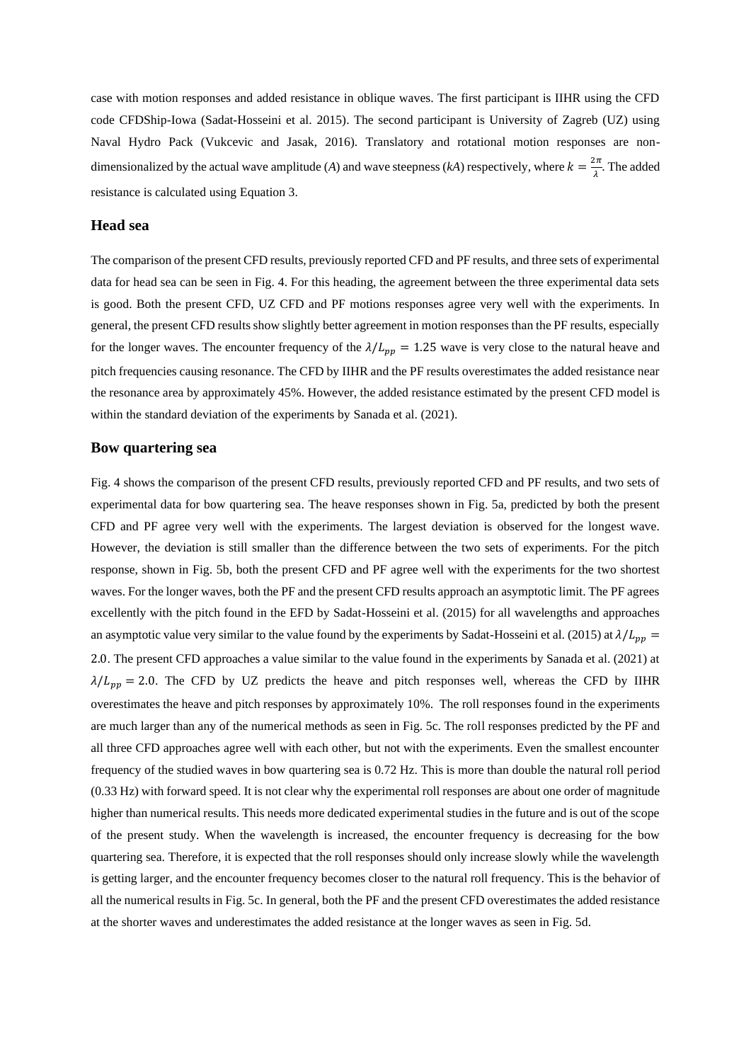case with motion responses and added resistance in oblique waves. The first participant is IIHR using the CFD code CFDShip-Iowa (Sadat-Hosseini et al. 2015). The second participant is University of Zagreb (UZ) using Naval Hydro Pack (Vukcevic and Jasak, 2016). Translatory and rotational motion responses are nondimensionalized by the actual wave amplitude (A) and wave steepness (kA) respectively, where  $k = \frac{2\pi}{\lambda}$  $\frac{\partial n}{\partial x}$ . The added resistance is calculated using Equation 3.

#### **Head sea**

The comparison of the present CFD results, previously reported CFD and PF results, and three sets of experimental data for head sea can be seen in Fig. 4. For this heading, the agreement between the three experimental data sets is good. Both the present CFD, UZ CFD and PF motions responses agree very well with the experiments. In general, the present CFD results show slightly better agreement in motion responses than the PF results, especially for the longer waves. The encounter frequency of the  $\lambda/L_{pp} = 1.25$  wave is very close to the natural heave and pitch frequencies causing resonance. The CFD by IIHR and the PF results overestimates the added resistance near the resonance area by approximately 45%. However, the added resistance estimated by the present CFD model is within the standard deviation of the experiments by Sanada et al. (2021).

#### **Bow quartering sea**

Fig. 4 shows the comparison of the present CFD results, previously reported CFD and PF results, and two sets of experimental data for bow quartering sea. The heave responses shown in Fig. 5a, predicted by both the present CFD and PF agree very well with the experiments. The largest deviation is observed for the longest wave. However, the deviation is still smaller than the difference between the two sets of experiments. For the pitch response, shown in Fig. 5b, both the present CFD and PF agree well with the experiments for the two shortest waves. For the longer waves, both the PF and the present CFD results approach an asymptotic limit. The PF agrees excellently with the pitch found in the EFD by Sadat-Hosseini et al. (2015) for all wavelengths and approaches an asymptotic value very similar to the value found by the experiments by Sadat-Hosseini et al. (2015) at  $\lambda/L_{nn}$ 2.0. The present CFD approaches a value similar to the value found in the experiments by Sanada et al. (2021) at  $\lambda/L_{pp} = 2.0$ . The CFD by UZ predicts the heave and pitch responses well, whereas the CFD by IIHR overestimates the heave and pitch responses by approximately 10%. The roll responses found in the experiments are much larger than any of the numerical methods as seen in Fig. 5c. The roll responses predicted by the PF and all three CFD approaches agree well with each other, but not with the experiments. Even the smallest encounter frequency of the studied waves in bow quartering sea is 0.72 Hz. This is more than double the natural roll period (0.33 Hz) with forward speed. It is not clear why the experimental roll responses are about one order of magnitude higher than numerical results. This needs more dedicated experimental studies in the future and is out of the scope of the present study. When the wavelength is increased, the encounter frequency is decreasing for the bow quartering sea. Therefore, it is expected that the roll responses should only increase slowly while the wavelength is getting larger, and the encounter frequency becomes closer to the natural roll frequency. This is the behavior of all the numerical results in Fig. 5c. In general, both the PF and the present CFD overestimates the added resistance at the shorter waves and underestimates the added resistance at the longer waves as seen in Fig. 5d.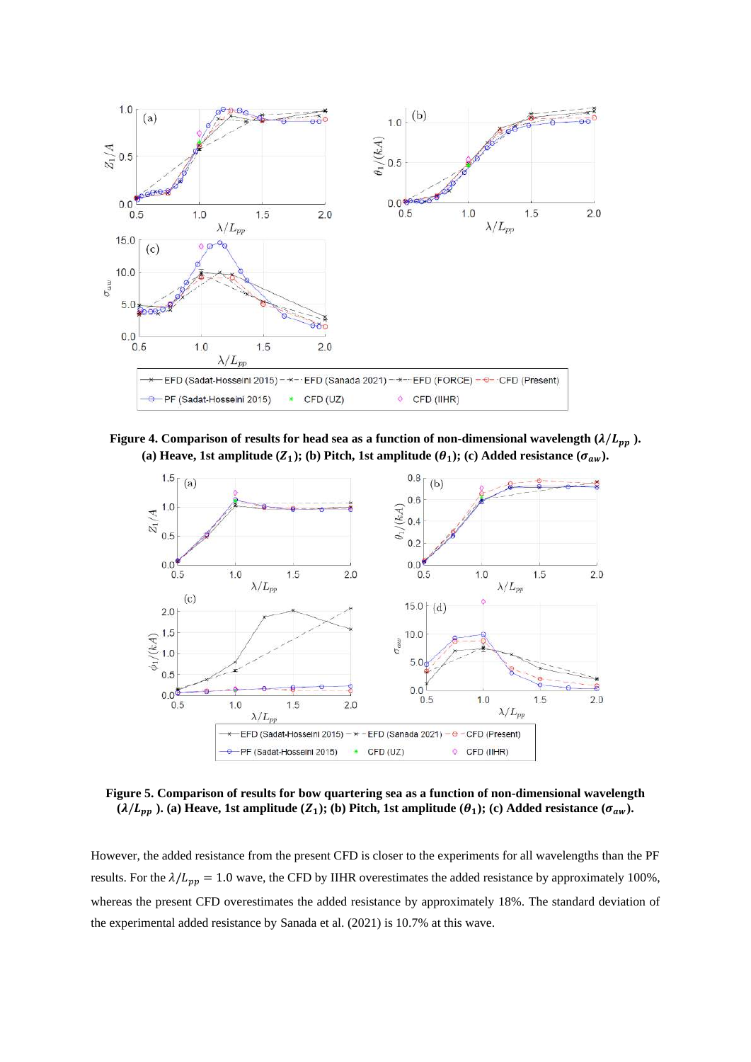

**Figure 4. Comparison of results for head sea as a function of non-dimensional wavelength**  $(\lambda/L_{pp})$ **.** (a) Heave, 1st amplitude  $(Z_1)$ ; (b) Pitch, 1st amplitude  $(\theta_1)$ ; (c) Added resistance  $(\sigma_{aw})$ .



**Figure 5. Comparison of results for bow quartering sea as a function of non-dimensional wavelength**   $(\lambda/L_{pp})$ . (a) Heave, 1st amplitude  $(Z_1)$ ; (b) Pitch, 1st amplitude  $(\theta_1)$ ; (c) Added resistance  $(\sigma_{aw})$ .

However, the added resistance from the present CFD is closer to the experiments for all wavelengths than the PF results. For the  $\lambda/L_{pp} = 1.0$  wave, the CFD by IIHR overestimates the added resistance by approximately 100%, whereas the present CFD overestimates the added resistance by approximately 18%. The standard deviation of the experimental added resistance by Sanada et al. (2021) is 10.7% at this wave.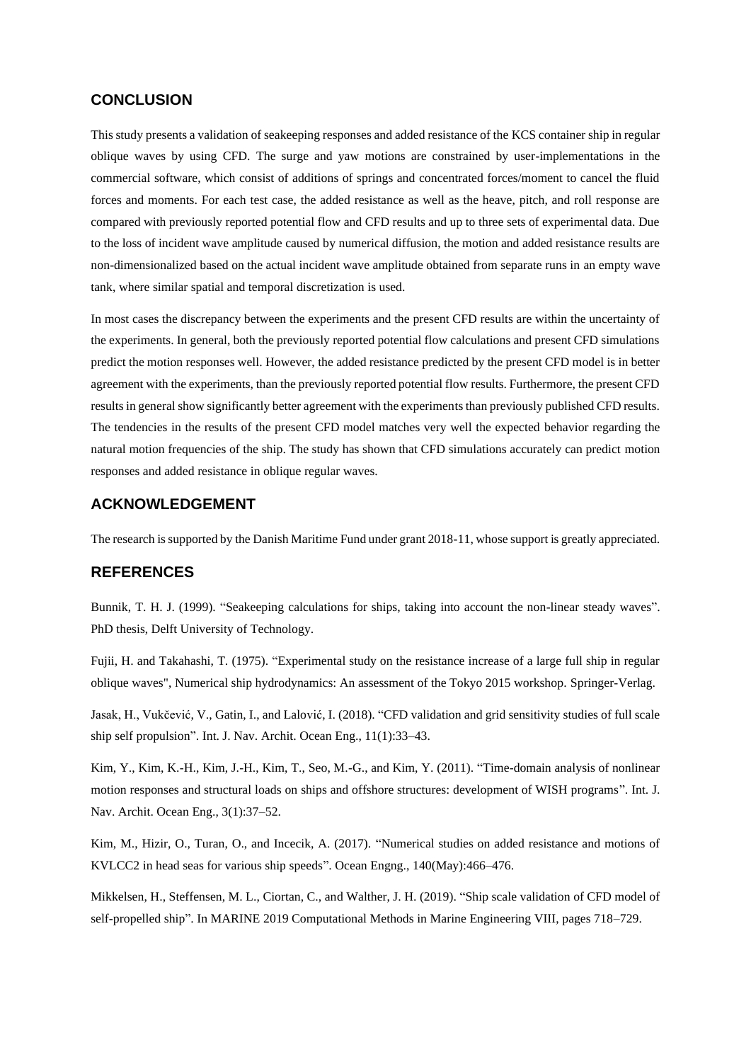#### **CONCLUSION**

This study presents a validation of seakeeping responses and added resistance of the KCS container ship in regular oblique waves by using CFD. The surge and yaw motions are constrained by user-implementations in the commercial software, which consist of additions of springs and concentrated forces/moment to cancel the fluid forces and moments. For each test case, the added resistance as well as the heave, pitch, and roll response are compared with previously reported potential flow and CFD results and up to three sets of experimental data. Due to the loss of incident wave amplitude caused by numerical diffusion, the motion and added resistance results are non-dimensionalized based on the actual incident wave amplitude obtained from separate runs in an empty wave tank, where similar spatial and temporal discretization is used.

In most cases the discrepancy between the experiments and the present CFD results are within the uncertainty of the experiments. In general, both the previously reported potential flow calculations and present CFD simulations predict the motion responses well. However, the added resistance predicted by the present CFD model is in better agreement with the experiments, than the previously reported potential flow results. Furthermore, the present CFD results in general show significantly better agreement with the experiments than previously published CFD results. The tendencies in the results of the present CFD model matches very well the expected behavior regarding the natural motion frequencies of the ship. The study has shown that CFD simulations accurately can predict motion responses and added resistance in oblique regular waves.

## **ACKNOWLEDGEMENT**

The research is supported by the Danish Maritime Fund under grant 2018-11, whose support is greatly appreciated.

## **REFERENCES**

Bunnik, T. H. J. (1999). "Seakeeping calculations for ships, taking into account the non-linear steady waves". PhD thesis, Delft University of Technology.

Fujii, H. and Takahashi, T. (1975). "Experimental study on the resistance increase of a large full ship in regular oblique waves", Numerical ship hydrodynamics: An assessment of the Tokyo 2015 workshop. Springer-Verlag.

Jasak, H., Vukčević, V., Gatin, I., and Lalović, I. (2018). "CFD validation and grid sensitivity studies of full scale ship self propulsion". Int. J. Nav. Archit. Ocean Eng., 11(1):33–43.

Kim, Y., Kim, K.-H., Kim, J.-H., Kim, T., Seo, M.-G., and Kim, Y. (2011). "Time-domain analysis of nonlinear motion responses and structural loads on ships and offshore structures: development of WISH programs". Int. J. Nav. Archit. Ocean Eng., 3(1):37–52.

Kim, M., Hizir, O., Turan, O., and Incecik, A. (2017). "Numerical studies on added resistance and motions of KVLCC2 in head seas for various ship speeds". Ocean Engng., 140(May):466–476.

Mikkelsen, H., Steffensen, M. L., Ciortan, C., and Walther, J. H. (2019). "Ship scale validation of CFD model of self-propelled ship". In MARINE 2019 Computational Methods in Marine Engineering VIII, pages 718–729.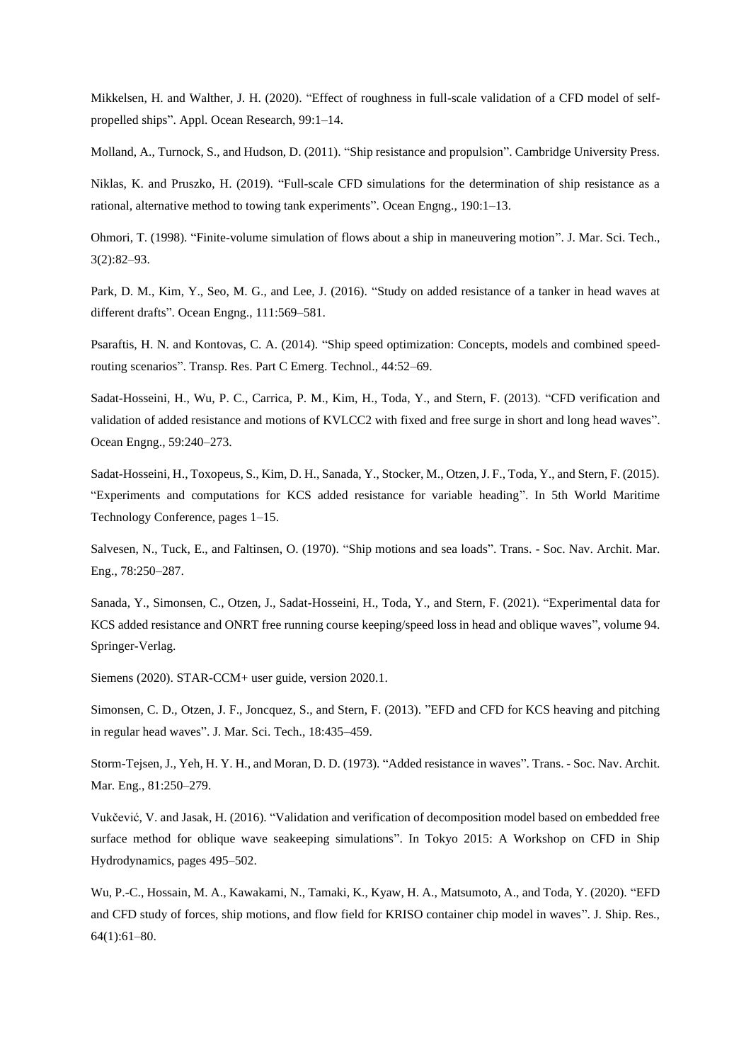Mikkelsen, H. and Walther, J. H. (2020). "Effect of roughness in full-scale validation of a CFD model of selfpropelled ships". Appl. Ocean Research, 99:1–14.

Molland, A., Turnock, S., and Hudson, D. (2011). "Ship resistance and propulsion". Cambridge University Press.

Niklas, K. and Pruszko, H. (2019). "Full-scale CFD simulations for the determination of ship resistance as a rational, alternative method to towing tank experiments". Ocean Engng., 190:1–13.

Ohmori, T. (1998). "Finite-volume simulation of flows about a ship in maneuvering motion". J. Mar. Sci. Tech., 3(2):82–93.

Park, D. M., Kim, Y., Seo, M. G., and Lee, J. (2016). "Study on added resistance of a tanker in head waves at different drafts". Ocean Engng., 111:569–581.

Psaraftis, H. N. and Kontovas, C. A. (2014). "Ship speed optimization: Concepts, models and combined speedrouting scenarios". Transp. Res. Part C Emerg. Technol., 44:52–69.

Sadat-Hosseini, H., Wu, P. C., Carrica, P. M., Kim, H., Toda, Y., and Stern, F. (2013). "CFD verification and validation of added resistance and motions of KVLCC2 with fixed and free surge in short and long head waves". Ocean Engng., 59:240–273.

Sadat-Hosseini, H., Toxopeus, S., Kim, D. H., Sanada, Y., Stocker, M., Otzen, J. F., Toda, Y., and Stern, F. (2015). "Experiments and computations for KCS added resistance for variable heading". In 5th World Maritime Technology Conference, pages 1–15.

Salvesen, N., Tuck, E., and Faltinsen, O. (1970). "Ship motions and sea loads". Trans. - Soc. Nav. Archit. Mar. Eng., 78:250–287.

Sanada, Y., Simonsen, C., Otzen, J., Sadat-Hosseini, H., Toda, Y., and Stern, F. (2021). "Experimental data for KCS added resistance and ONRT free running course keeping/speed loss in head and oblique waves", volume 94. Springer-Verlag.

Siemens (2020). STAR-CCM+ user guide, version 2020.1.

Simonsen, C. D., Otzen, J. F., Joncquez, S., and Stern, F. (2013). "EFD and CFD for KCS heaving and pitching in regular head waves". J. Mar. Sci. Tech., 18:435–459.

Storm-Tejsen, J., Yeh, H. Y. H., and Moran, D. D. (1973). "Added resistance in waves". Trans. - Soc. Nav. Archit. Mar. Eng., 81:250–279.

Vukčević, V. and Jasak, H. (2016). "Validation and verification of decomposition model based on embedded free surface method for oblique wave seakeeping simulations". In Tokyo 2015: A Workshop on CFD in Ship Hydrodynamics, pages 495–502.

Wu, P.-C., Hossain, M. A., Kawakami, N., Tamaki, K., Kyaw, H. A., Matsumoto, A., and Toda, Y. (2020). "EFD and CFD study of forces, ship motions, and flow field for KRISO container chip model in waves". J. Ship. Res., 64(1):61–80.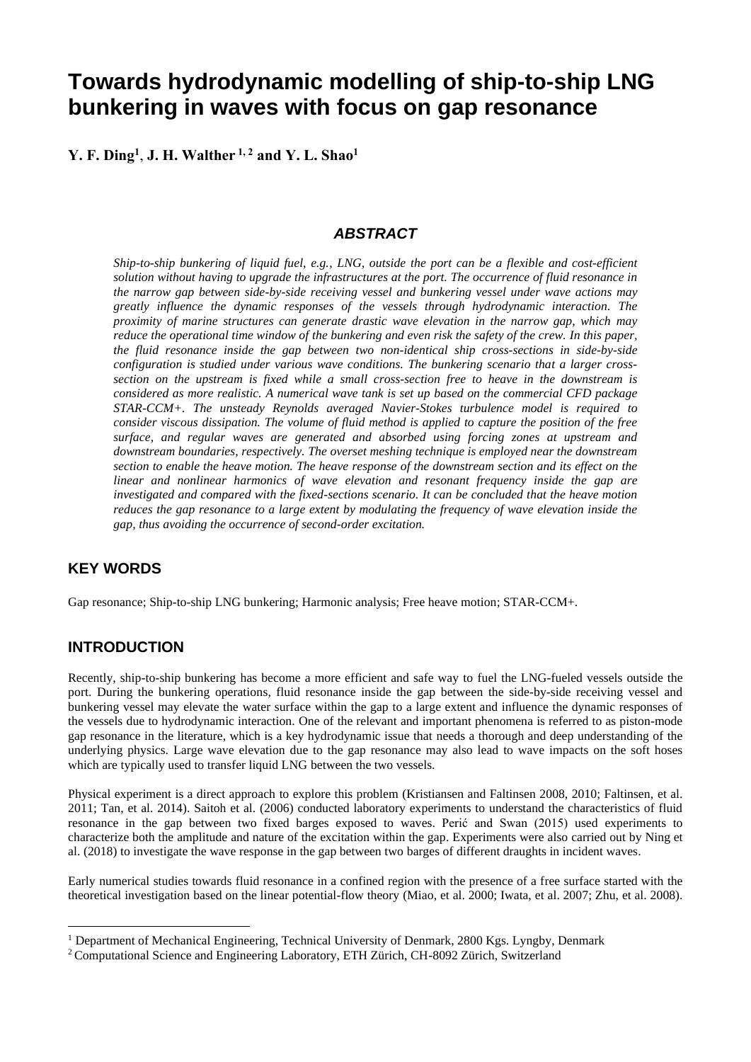# **Towards hydrodynamic modelling of ship-to-ship LNG bunkering in waves with focus on gap resonance**

**Y. F. Ding<sup>1</sup>** , **J. H. Walther 1, 2 and Y. L. Shao<sup>1</sup>**

## *ABSTRACT*

*Ship-to-ship bunkering of liquid fuel, e.g., LNG, outside the port can be a flexible and cost-efficient solution without having to upgrade the infrastructures at the port. The occurrence of fluid resonance in the narrow gap between side-by-side receiving vessel and bunkering vessel under wave actions may greatly influence the dynamic responses of the vessels through hydrodynamic interaction. The proximity of marine structures can generate drastic wave elevation in the narrow gap, which may reduce the operational time window of the bunkering and even risk the safety of the crew. In this paper, the fluid resonance inside the gap between two non-identical ship cross-sections in side-by-side configuration is studied under various wave conditions. The bunkering scenario that a larger crosssection on the upstream is fixed while a small cross-section free to heave in the downstream is considered as more realistic. A numerical wave tank is set up based on the commercial CFD package STAR-CCM+. The unsteady Reynolds averaged Navier-Stokes turbulence model is required to consider viscous dissipation. The volume of fluid method is applied to capture the position of the free surface, and regular waves are generated and absorbed using forcing zones at upstream and downstream boundaries, respectively. The overset meshing technique is employed near the downstream section to enable the heave motion. The heave response of the downstream section and its effect on the linear and nonlinear harmonics of wave elevation and resonant frequency inside the gap are investigated and compared with the fixed-sections scenario. It can be concluded that the heave motion reduces the gap resonance to a large extent by modulating the frequency of wave elevation inside the gap, thus avoiding the occurrence of second-order excitation.*

## **KEY WORDS**

Gap resonance; Ship-to-ship LNG bunkering; Harmonic analysis; Free heave motion; STAR-CCM+.

## **INTRODUCTION**

Recently, ship-to-ship bunkering has become a more efficient and safe way to fuel the LNG-fueled vessels outside the port. During the bunkering operations, fluid resonance inside the gap between the side-by-side receiving vessel and bunkering vessel may elevate the water surface within the gap to a large extent and influence the dynamic responses of the vessels due to hydrodynamic interaction. One of the relevant and important phenomena is referred to as piston-mode gap resonance in the literature, which is a key hydrodynamic issue that needs a thorough and deep understanding of the underlying physics. Large wave elevation due to the gap resonance may also lead to wave impacts on the soft hoses which are typically used to transfer liquid LNG between the two vessels.

Physical experiment is a direct approach to explore this problem (Kristiansen and Faltinsen 2008, 2010; Faltinsen, et al. 2011; Tan, et al. 2014). Saitoh et al. (2006) conducted laboratory experiments to understand the characteristics of fluid resonance in the gap between two fixed barges exposed to waves. Perić and Swan (2015) used experiments to characterize both the amplitude and nature of the excitation within the gap. Experiments were also carried out by Ning et al. (2018) to investigate the wave response in the gap between two barges of different draughts in incident waves.

Early numerical studies towards fluid resonance in a confined region with the presence of a free surface started with the theoretical investigation based on the linear potential-flow theory (Miao, et al. 2000; Iwata, et al. 2007; Zhu, et al. 2008).

<sup>&</sup>lt;sup>1</sup> Department of Mechanical Engineering, Technical University of Denmark, 2800 Kgs. Lyngby, Denmark

<sup>2</sup> Computational Science and Engineering Laboratory, ETH Zürich, CH-8092 Zürich, Switzerland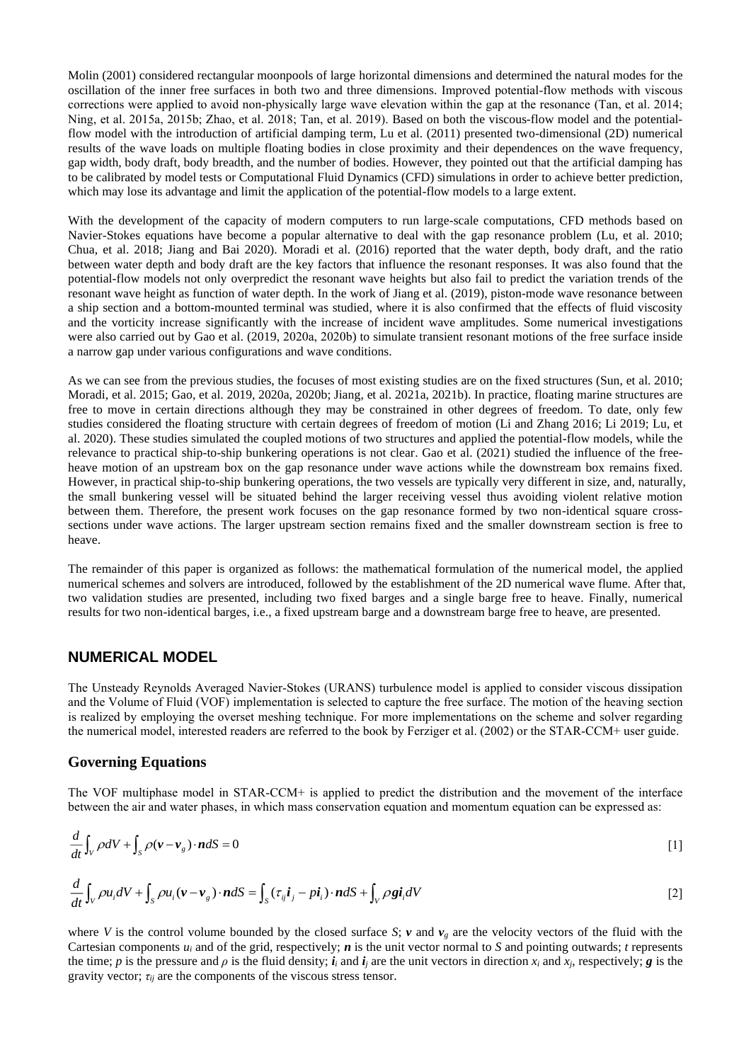Molin (2001) considered rectangular moonpools of large horizontal dimensions and determined the natural modes for the oscillation of the inner free surfaces in both two and three dimensions. Improved potential-flow methods with viscous corrections were applied to avoid non-physically large wave elevation within the gap at the resonance (Tan, et al. 2014; Ning, et al. 2015a, 2015b; Zhao, et al. 2018; Tan, et al. 2019). Based on both the viscous-flow model and the potentialflow model with the introduction of artificial damping term, Lu et al. (2011) presented two-dimensional (2D) numerical results of the wave loads on multiple floating bodies in close proximity and their dependences on the wave frequency, gap width, body draft, body breadth, and the number of bodies. However, they pointed out that the artificial damping has to be calibrated by model tests or Computational Fluid Dynamics (CFD) simulations in order to achieve better prediction, which may lose its advantage and limit the application of the potential-flow models to a large extent.

With the development of the capacity of modern computers to run large-scale computations, CFD methods based on Navier-Stokes equations have become a popular alternative to deal with the gap resonance problem (Lu, et al. 2010; Chua, et al. 2018; Jiang and Bai 2020). Moradi et al. (2016) reported that the water depth, body draft, and the ratio between water depth and body draft are the key factors that influence the resonant responses. It was also found that the potential-flow models not only overpredict the resonant wave heights but also fail to predict the variation trends of the resonant wave height as function of water depth. In the work of Jiang et al. (2019), piston-mode wave resonance between a ship section and a bottom-mounted terminal was studied, where it is also confirmed that the effects of fluid viscosity and the vorticity increase significantly with the increase of incident wave amplitudes. Some numerical investigations were also carried out by Gao et al. (2019, 2020a, 2020b) to simulate transient resonant motions of the free surface inside a narrow gap under various configurations and wave conditions.

As we can see from the previous studies, the focuses of most existing studies are on the fixed structures (Sun, et al. 2010; Moradi, et al. 2015; Gao, et al. 2019, 2020a, 2020b; Jiang, et al. 2021a, 2021b). In practice, floating marine structures are free to move in certain directions although they may be constrained in other degrees of freedom. To date, only few studies considered the floating structure with certain degrees of freedom of motion (Li and Zhang 2016; Li 2019; Lu, et al. 2020). These studies simulated the coupled motions of two structures and applied the potential-flow models, while the relevance to practical ship-to-ship bunkering operations is not clear. Gao et al. (2021) studied the influence of the freeheave motion of an upstream box on the gap resonance under wave actions while the downstream box remains fixed. However, in practical ship-to-ship bunkering operations, the two vessels are typically very different in size, and, naturally, the small bunkering vessel will be situated behind the larger receiving vessel thus avoiding violent relative motion between them. Therefore, the present work focuses on the gap resonance formed by two non-identical square crosssections under wave actions. The larger upstream section remains fixed and the smaller downstream section is free to heave.

The remainder of this paper is organized as follows: the mathematical formulation of the numerical model, the applied numerical schemes and solvers are introduced, followed by the establishment of the 2D numerical wave flume. After that, two validation studies are presented, including two fixed barges and a single barge free to heave. Finally, numerical results for two non-identical barges, i.e., a fixed upstream barge and a downstream barge free to heave, are presented.

## **NUMERICAL MODEL**

The Unsteady Reynolds Averaged Navier-Stokes (URANS) turbulence model is applied to consider viscous dissipation and the Volume of Fluid (VOF) implementation is selected to capture the free surface. The motion of the heaving section is realized by employing the overset meshing technique. For more implementations on the scheme and solver regarding the numerical model, interested readers are referred to the book by Ferziger et al. (2002) or the STAR-CCM+ user guide.

### **Governing Equations**

The VOF multiphase model in STAR-CCM+ is applied to predict the distribution and the movement of the interface between the air and water phases, in which mass conservation equation and momentum equation can be expressed as:

$$
\frac{d}{dt}\int_{V} \rho dV + \int_{S} \rho (\mathbf{v} - \mathbf{v}_{g}) \cdot \mathbf{n} dS = 0
$$
 [1]

$$
\frac{d}{dt}\int_{V} \rho u_{i}dV + \int_{S} \rho u_{i}(\mathbf{v} - \mathbf{v}_{g}) \cdot \mathbf{n}dS = \int_{S} (\tau_{ij}\mathbf{i}_{j} - p\mathbf{i}_{i}) \cdot \mathbf{n}dS + \int_{V} \rho \mathbf{g}\mathbf{i}_{i}dV
$$
\n[2]

where *V* is the control volume bounded by the closed surface *S*; *v* and  $v_g$  are the velocity vectors of the fluid with the Cartesian components  $u_i$  and of the grid, respectively;  $\boldsymbol{n}$  is the unit vector normal to  $S$  and pointing outwards;  $t$  represents the time; *p* is the pressure and *p* is the fluid density;  $\mathbf{i}_i$  and  $\mathbf{i}_j$  are the unit vectors in direction  $x_i$  and  $x_j$ , respectively; *g* is the gravity vector;  $\tau_{ii}$  are the components of the viscous stress tensor.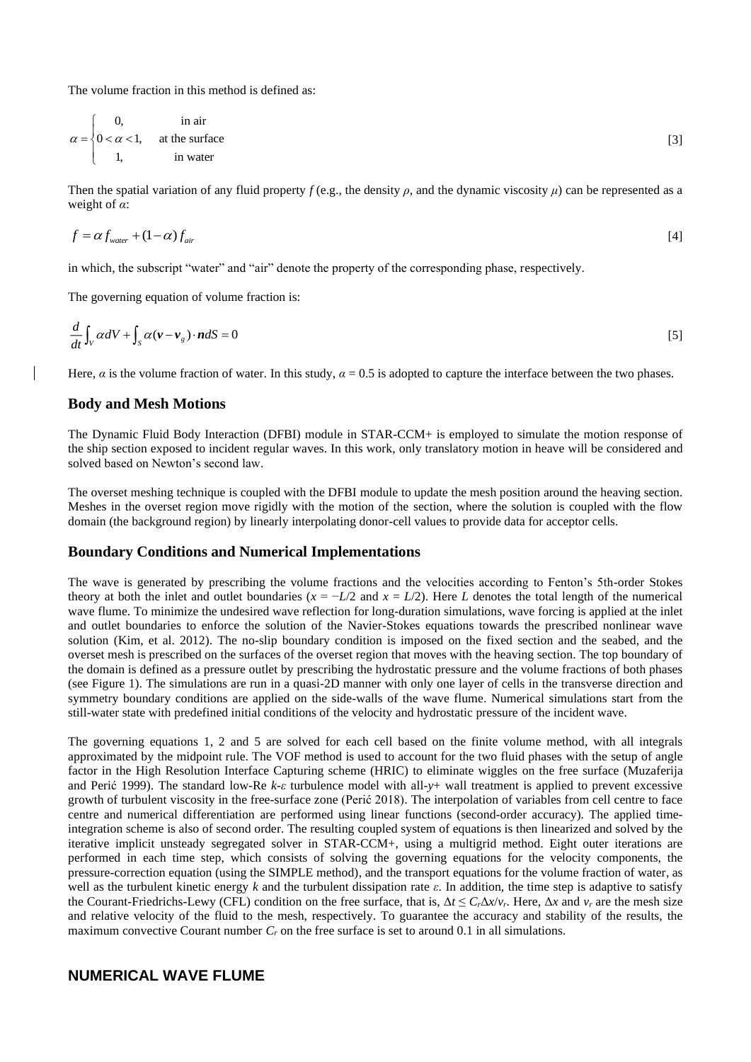The volume fraction in this method is defined as:

$$
\alpha = \begin{cases}\n0, & \text{in air} \\
0 < \alpha < 1, & \text{at the surface} \\
1, & \text{in water}\n\end{cases}
$$
\n[3]

Then the spatial variation of any fluid property  $f$  (e.g., the density  $\rho$ , and the dynamic viscosity  $\mu$ ) can be represented as a weight of *α*:

$$
f = \alpha f_{\text{water}} + (1 - \alpha) f_{\text{air}} \tag{4}
$$

in which, the subscript "water" and "air" denote the property of the corresponding phase, respectively.

The governing equation of volume fraction is:

$$
\frac{d}{dt}\int_{V} \alpha dV + \int_{S} \alpha (\mathbf{v} - \mathbf{v}_{g}) \cdot \mathbf{n} dS = 0
$$
\n[5]

Here, *α* is the volume fraction of water. In this study,  $\alpha = 0.5$  is adopted to capture the interface between the two phases.

#### **Body and Mesh Motions**

The Dynamic Fluid Body Interaction (DFBI) module in STAR-CCM+ is employed to simulate the motion response of the ship section exposed to incident regular waves. In this work, only translatory motion in heave will be considered and solved based on Newton's second law.

The overset meshing technique is coupled with the DFBI module to update the mesh position around the heaving section. Meshes in the overset region move rigidly with the motion of the section, where the solution is coupled with the flow domain (the background region) by linearly interpolating donor-cell values to provide data for acceptor cells.

#### **Boundary Conditions and Numerical Implementations**

The wave is generated by prescribing the volume fractions and the velocities according to Fenton's 5th-order Stokes theory at both the inlet and outlet boundaries ( $x = -L/2$  and  $x = L/2$ ). Here *L* denotes the total length of the numerical wave flume. To minimize the undesired wave reflection for long-duration simulations, wave forcing is applied at the inlet and outlet boundaries to enforce the solution of the Navier-Stokes equations towards the prescribed nonlinear wave solution (Kim, et al. 2012). The no-slip boundary condition is imposed on the fixed section and the seabed, and the overset mesh is prescribed on the surfaces of the overset region that moves with the heaving section. The top boundary of the domain is defined as a pressure outlet by prescribing the hydrostatic pressure and the volume fractions of both phases (see Figure 1). The simulations are run in a quasi-2D manner with only one layer of cells in the transverse direction and symmetry boundary conditions are applied on the side-walls of the wave flume. Numerical simulations start from the still-water state with predefined initial conditions of the velocity and hydrostatic pressure of the incident wave.

The governing equations 1, 2 and 5 are solved for each cell based on the finite volume method, with all integrals approximated by the midpoint rule. The VOF method is used to account for the two fluid phases with the setup of angle factor in the High Resolution Interface Capturing scheme (HRIC) to eliminate wiggles on the free surface (Muzaferija and Perić 1999). The standard low-Re *k*-*ε* turbulence model with all-*y*+ wall treatment is applied to prevent excessive growth of turbulent viscosity in the free-surface zone (Perić 2018). The interpolation of variables from cell centre to face centre and numerical differentiation are performed using linear functions (second-order accuracy). The applied timeintegration scheme is also of second order. The resulting coupled system of equations is then linearized and solved by the iterative implicit unsteady segregated solver in STAR-CCM+, using a multigrid method. Eight outer iterations are performed in each time step, which consists of solving the governing equations for the velocity components, the pressure-correction equation (using the SIMPLE method), and the transport equations for the volume fraction of water, as well as the turbulent kinetic energy *k* and the turbulent dissipation rate *ε*. In addition, the time step is adaptive to satisfy the Courant-Friedrichs-Lewy (CFL) condition on the free surface, that is,  $\Delta t \leq C_r \Delta x/v_r$ . Here,  $\Delta x$  and  $v_r$  are the mesh size and relative velocity of the fluid to the mesh, respectively. To guarantee the accuracy and stability of the results, the maximum convective Courant number *C<sup>r</sup>* on the free surface is set to around 0.1 in all simulations.

## **NUMERICAL WAVE FLUME**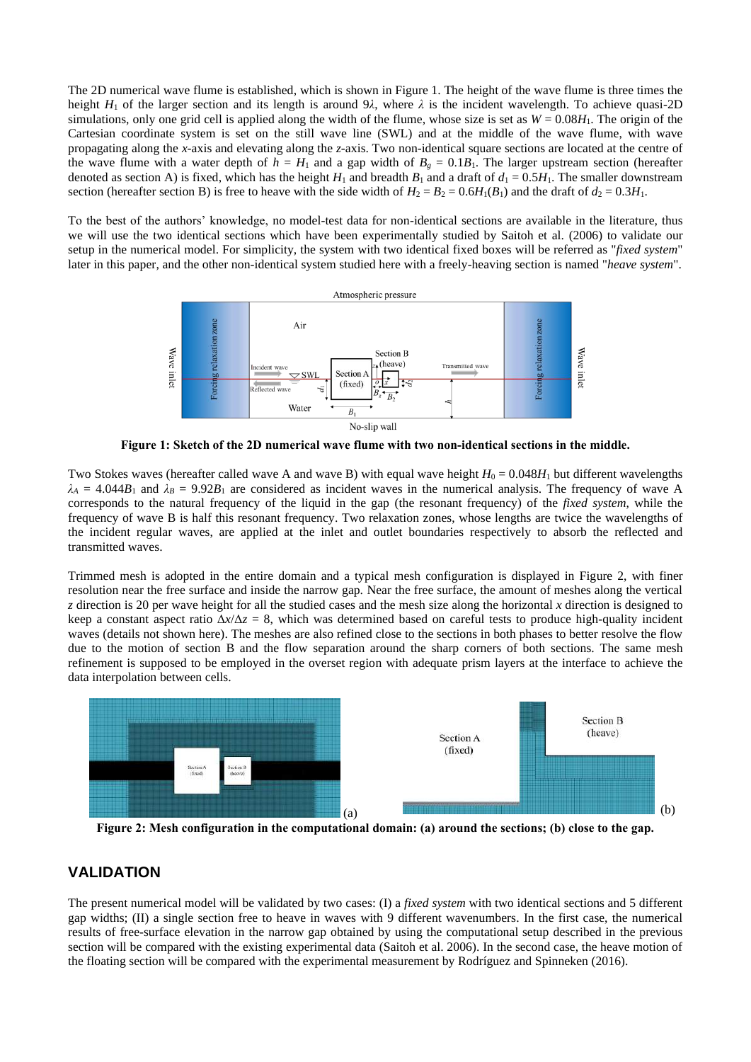The 2D numerical wave flume is established, which is shown in Figure 1. The height of the wave flume is three times the height  $H_1$  of the larger section and its length is around 9*λ*, where  $\lambda$  is the incident wavelength. To achieve quasi-2D simulations, only one grid cell is applied along the width of the flume, whose size is set as  $W = 0.08H_1$ . The origin of the Cartesian coordinate system is set on the still wave line (SWL) and at the middle of the wave flume, with wave propagating along the *x*-axis and elevating along the *z*-axis. Two non-identical square sections are located at the centre of the wave flume with a water depth of  $h = H_1$  and a gap width of  $B_g = 0.1B_1$ . The larger upstream section (hereafter denoted as section A) is fixed, which has the height  $H_1$  and breadth  $B_1$  and a draft of  $d_1 = 0.5H_1$ . The smaller downstream section (hereafter section B) is free to heave with the side width of  $H_2 = B_2 = 0.6H_1(B_1)$  and the draft of  $d_2 = 0.3H_1$ .

To the best of the authors' knowledge, no model-test data for non-identical sections are available in the literature, thus we will use the two identical sections which have been experimentally studied by Saitoh et al. (2006) to validate our setup in the numerical model. For simplicity, the system with two identical fixed boxes will be referred as "*fixed system*" later in this paper, and the other non-identical system studied here with a freely-heaving section is named "*heave system*".



**Figure 1: Sketch of the 2D numerical wave flume with two non-identical sections in the middle.**

Two Stokes waves (hereafter called wave A and wave B) with equal wave height  $H_0 = 0.048H_1$  but different wavelengths  $\lambda_A = 4.044B_1$  and  $\lambda_B = 9.92B_1$  are considered as incident waves in the numerical analysis. The frequency of wave A corresponds to the natural frequency of the liquid in the gap (the resonant frequency) of the *fixed system*, while the frequency of wave B is half this resonant frequency. Two relaxation zones, whose lengths are twice the wavelengths of the incident regular waves, are applied at the inlet and outlet boundaries respectively to absorb the reflected and transmitted waves.

Trimmed mesh is adopted in the entire domain and a typical mesh configuration is displayed in Figure 2, with finer resolution near the free surface and inside the narrow gap. Near the free surface, the amount of meshes along the vertical *z* direction is 20 per wave height for all the studied cases and the mesh size along the horizontal *x* direction is designed to keep a constant aspect ratio  $\Delta x/\Delta z = 8$ , which was determined based on careful tests to produce high-quality incident waves (details not shown here). The meshes are also refined close to the sections in both phases to better resolve the flow due to the motion of section B and the flow separation around the sharp corners of both sections. The same mesh refinement is supposed to be employed in the overset region with adequate prism layers at the interface to achieve the data interpolation between cells.



**Figure 2: Mesh configuration in the computational domain: (a) around the sections; (b) close to the gap.**

# **VALIDATION**

The present numerical model will be validated by two cases: (I) a *fixed system* with two identical sections and 5 different gap widths; (II) a single section free to heave in waves with 9 different wavenumbers. In the first case, the numerical results of free-surface elevation in the narrow gap obtained by using the computational setup described in the previous section will be compared with the existing experimental data (Saitoh et al. 2006). In the second case, the heave motion of the floating section will be compared with the experimental measurement by Rodríguez and Spinneken (2016).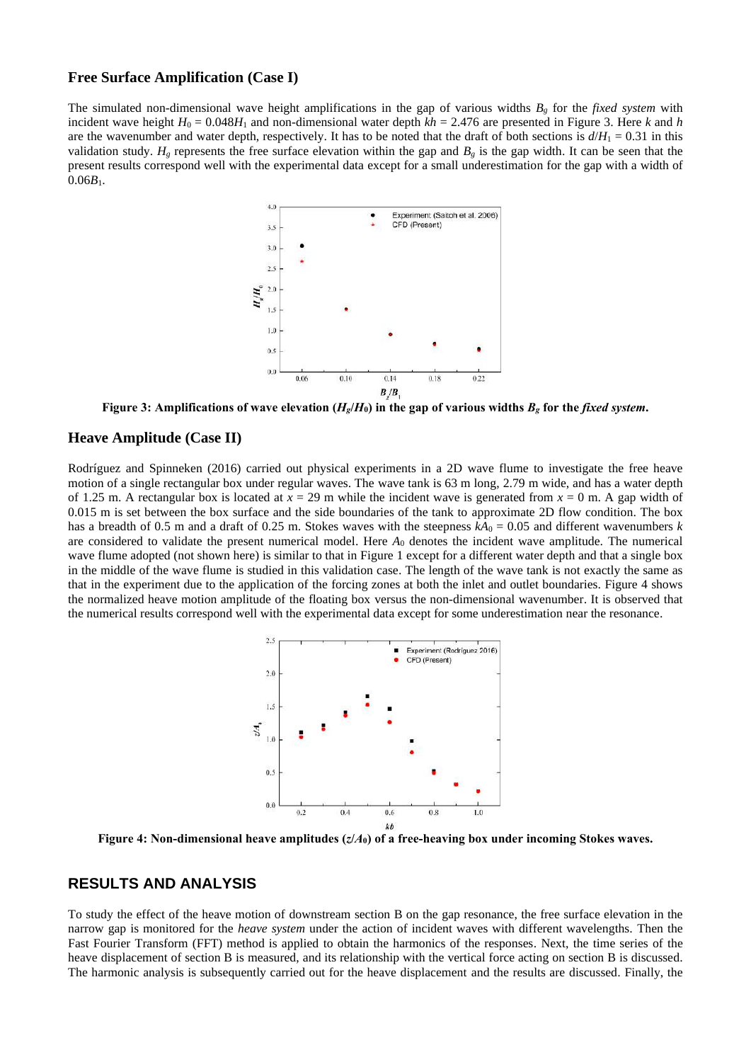#### **Free Surface Amplification (Case I)**

The simulated non-dimensional wave height amplifications in the gap of various widths *B<sup>g</sup>* for the *fixed system* with incident wave height  $H_0 = 0.048H_1$  and non-dimensional water depth  $kh = 2.476$  are presented in Figure 3. Here *k* and *h* are the wavenumber and water depth, respectively. It has to be noted that the draft of both sections is  $d/H_1 = 0.31$  in this validation study.  $H_g$  represents the free surface elevation within the gap and  $B_g$  is the gap width. It can be seen that the present results correspond well with the experimental data except for a small underestimation for the gap with a width of  $0.06B_1$ .



**Figure 3:** Amplifications of wave elevation ( $H_g/H_0$ ) in the gap of various widths  $B_g$  for the *fixed system*.

#### **Heave Amplitude (Case II)**

Rodríguez and Spinneken (2016) carried out physical experiments in a 2D wave flume to investigate the free heave motion of a single rectangular box under regular waves. The wave tank is 63 m long, 2.79 m wide, and has a water depth of 1.25 m. A rectangular box is located at  $x = 29$  m while the incident wave is generated from  $x = 0$  m. A gap width of 0.015 m is set between the box surface and the side boundaries of the tank to approximate 2D flow condition. The box has a breadth of 0.5 m and a draft of 0.25 m. Stokes waves with the steepness  $kA_0 = 0.05$  and different wavenumbers k are considered to validate the present numerical model. Here *A*<sup>0</sup> denotes the incident wave amplitude. The numerical wave flume adopted (not shown here) is similar to that in Figure 1 except for a different water depth and that a single box in the middle of the wave flume is studied in this validation case. The length of the wave tank is not exactly the same as that in the experiment due to the application of the forcing zones at both the inlet and outlet boundaries. Figure 4 shows the normalized heave motion amplitude of the floating box versus the non-dimensional wavenumber. It is observed that the numerical results correspond well with the experimental data except for some underestimation near the resonance.



**Figure 4: Non-dimensional heave amplitudes (***z***/***A***0) of a free-heaving box under incoming Stokes waves.**

## **RESULTS AND ANALYSIS**

To study the effect of the heave motion of downstream section B on the gap resonance, the free surface elevation in the narrow gap is monitored for the *heave system* under the action of incident waves with different wavelengths. Then the Fast Fourier Transform (FFT) method is applied to obtain the harmonics of the responses. Next, the time series of the heave displacement of section B is measured, and its relationship with the vertical force acting on section B is discussed. The harmonic analysis is subsequently carried out for the heave displacement and the results are discussed. Finally, the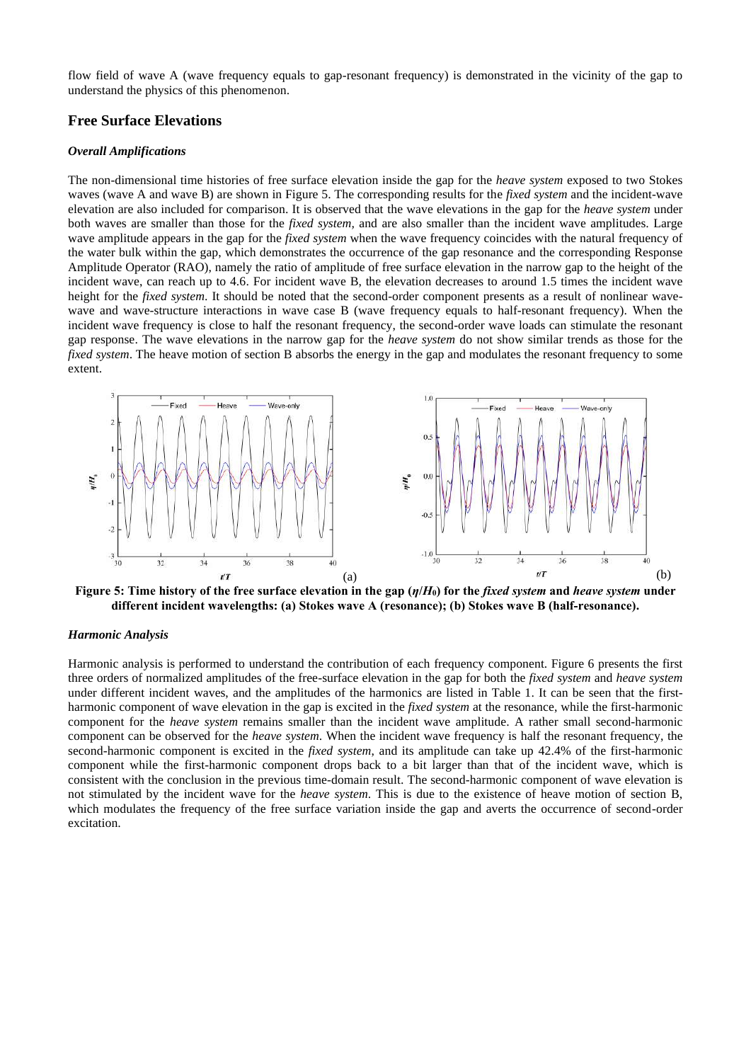flow field of wave A (wave frequency equals to gap-resonant frequency) is demonstrated in the vicinity of the gap to understand the physics of this phenomenon.

#### **Free Surface Elevations**

#### *Overall Amplifications*

The non-dimensional time histories of free surface elevation inside the gap for the *heave system* exposed to two Stokes waves (wave A and wave B) are shown in Figure 5. The corresponding results for the *fixed system* and the incident-wave elevation are also included for comparison. It is observed that the wave elevations in the gap for the *heave system* under both waves are smaller than those for the *fixed system,* and are also smaller than the incident wave amplitudes. Large wave amplitude appears in the gap for the *fixed system* when the wave frequency coincides with the natural frequency of the water bulk within the gap, which demonstrates the occurrence of the gap resonance and the corresponding Response Amplitude Operator (RAO), namely the ratio of amplitude of free surface elevation in the narrow gap to the height of the incident wave, can reach up to 4.6. For incident wave B, the elevation decreases to around 1.5 times the incident wave height for the *fixed system*. It should be noted that the second-order component presents as a result of nonlinear wavewave and wave-structure interactions in wave case B (wave frequency equals to half-resonant frequency). When the incident wave frequency is close to half the resonant frequency, the second-order wave loads can stimulate the resonant gap response. The wave elevations in the narrow gap for the *heave system* do not show similar trends as those for the *fixed system*. The heave motion of section B absorbs the energy in the gap and modulates the resonant frequency to some extent.



**Figure 5: Time history of the free surface elevation in the gap (***η***/***H***0) for the** *fixed system* **and** *heave system* **under different incident wavelengths: (a) Stokes wave A (resonance); (b) Stokes wave B (half-resonance).**

#### *Harmonic Analysis*

Harmonic analysis is performed to understand the contribution of each frequency component. Figure 6 presents the first three orders of normalized amplitudes of the free-surface elevation in the gap for both the *fixed system* and *heave system* under different incident waves, and the amplitudes of the harmonics are listed in Table 1. It can be seen that the firstharmonic component of wave elevation in the gap is excited in the *fixed system* at the resonance, while the first-harmonic component for the *heave system* remains smaller than the incident wave amplitude. A rather small second-harmonic component can be observed for the *heave system*. When the incident wave frequency is half the resonant frequency, the second-harmonic component is excited in the *fixed system*, and its amplitude can take up 42.4% of the first-harmonic component while the first-harmonic component drops back to a bit larger than that of the incident wave, which is consistent with the conclusion in the previous time-domain result. The second-harmonic component of wave elevation is not stimulated by the incident wave for the *heave system*. This is due to the existence of heave motion of section B, which modulates the frequency of the free surface variation inside the gap and averts the occurrence of second-order excitation.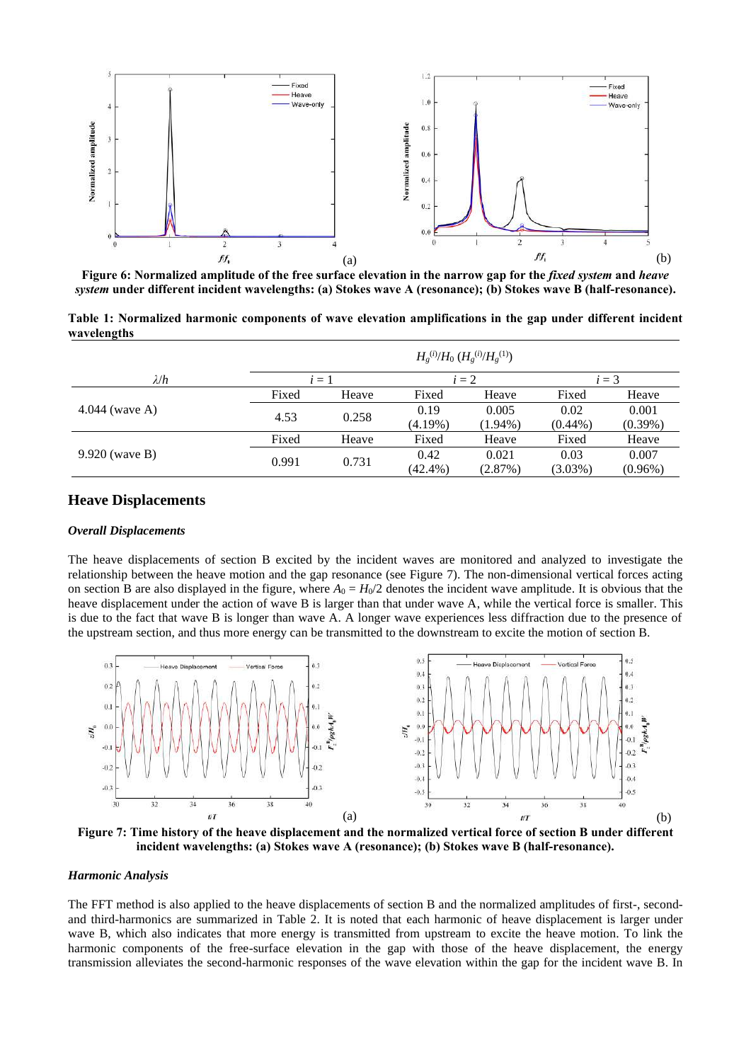

**Figure 6: Normalized amplitude of the free surface elevation in the narrow gap for the** *fixed system* **and** *heave system* **under different incident wavelengths: (a) Stokes wave A (resonance); (b) Stokes wave B (half-resonance).**

**Table 1: Normalized harmonic components of wave elevation amplifications in the gap under different incident wavelengths**

|                  | $H_g^{(i)}$ / $H_0$ $(H_g^{(i)}$ / $H_g^{(1)}$ ) |       |            |            |            |            |
|------------------|--------------------------------------------------|-------|------------|------------|------------|------------|
| $\lambda/h$      |                                                  | $i=1$ |            | $i=2$      |            | $i=3$      |
| 4.044 (wave A)   | Fixed                                            | Heave | Fixed      | Heave      | Fixed      | Heave      |
|                  | 4.53                                             | 0.258 | 0.19       | 0.005      | 0.02       | 0.001      |
|                  |                                                  |       | $(4.19\%)$ | $(1.94\%)$ | $(0.44\%)$ | $(0.39\%)$ |
| $9.920$ (wave B) | Fixed                                            | Heave | Fixed      | Heave      | Fixed      | Heave      |
|                  | 0.991                                            | 0.731 | 0.42       | 0.021      | 0.03       | 0.007      |
|                  |                                                  |       | $(42.4\%)$ | (2.87%)    | $(3.03\%)$ | $(0.96\%)$ |

#### **Heave Displacements**

#### *Overall Displacements*

The heave displacements of section B excited by the incident waves are monitored and analyzed to investigate the relationship between the heave motion and the gap resonance (see Figure 7). The non-dimensional vertical forces acting on section B are also displayed in the figure, where  $A_0 = H_0/2$  denotes the incident wave amplitude. It is obvious that the heave displacement under the action of wave B is larger than that under wave A, while the vertical force is smaller. This is due to the fact that wave B is longer than wave A. A longer wave experiences less diffraction due to the presence of the upstream section, and thus more energy can be transmitted to the downstream to excite the motion of section B.



**Figure 7: Time history of the heave displacement and the normalized vertical force of section B under different incident wavelengths: (a) Stokes wave A (resonance); (b) Stokes wave B (half-resonance).**

#### *Harmonic Analysis*

The FFT method is also applied to the heave displacements of section B and the normalized amplitudes of first-, secondand third-harmonics are summarized in Table 2. It is noted that each harmonic of heave displacement is larger under wave B, which also indicates that more energy is transmitted from upstream to excite the heave motion. To link the harmonic components of the free-surface elevation in the gap with those of the heave displacement, the energy transmission alleviates the second-harmonic responses of the wave elevation within the gap for the incident wave B. In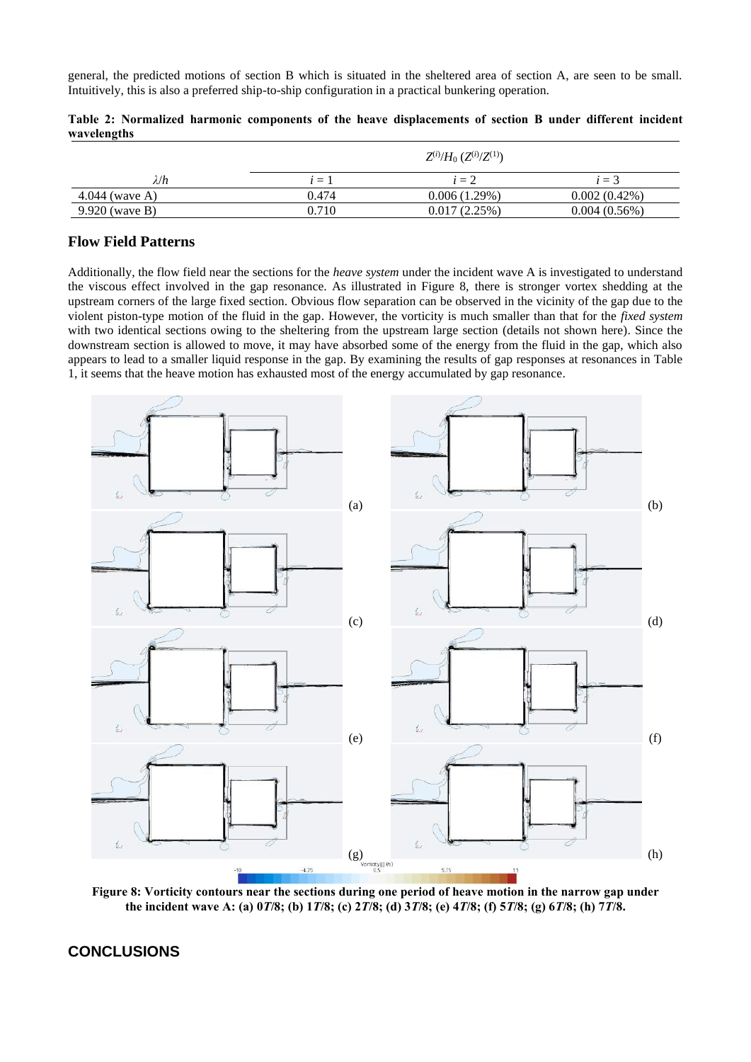general, the predicted motions of section B which is situated in the sheltered area of section A, are seen to be small. Intuitively, this is also a preferred ship-to-ship configuration in a practical bunkering operation.

|                | $Z^{(i)}$ / $H_0$ $(Z^{(i)}$ / $Z^{(1)}$ ) |              |                 |  |
|----------------|--------------------------------------------|--------------|-----------------|--|
| $\lambda/h$    | $=$                                        | $i=2$        | $\equiv$ 3      |  |
| 4.044 (wave A) | 0.474                                      | 0.006(1.29%) | $0.002(0.42\%)$ |  |
| 9.920 (wave B) | 0.710                                      | 0.017(2.25%) | 0.004(0.56%)    |  |

**Table 2: Normalized harmonic components of the heave displacements of section B under different incident wavelengths**

## **Flow Field Patterns**

Additionally, the flow field near the sections for the *heave system* under the incident wave A is investigated to understand the viscous effect involved in the gap resonance. As illustrated in Figure 8, there is stronger vortex shedding at the upstream corners of the large fixed section. Obvious flow separation can be observed in the vicinity of the gap due to the violent piston-type motion of the fluid in the gap. However, the vorticity is much smaller than that for the *fixed system* with two identical sections owing to the sheltering from the upstream large section (details not shown here). Since the downstream section is allowed to move, it may have absorbed some of the energy from the fluid in the gap, which also appears to lead to a smaller liquid response in the gap. By examining the results of gap responses at resonances in Table 1, it seems that the heave motion has exhausted most of the energy accumulated by gap resonance.



**Figure 8: Vorticity contours near the sections during one period of heave motion in the narrow gap under the incident wave A: (a) 0***T***/8; (b) 1***T***/8; (c) 2***T***/8; (d) 3***T***/8; (e) 4***T***/8; (f) 5***T***/8; (g) 6***T***/8; (h) 7***T***/8.**

## **CONCLUSIONS**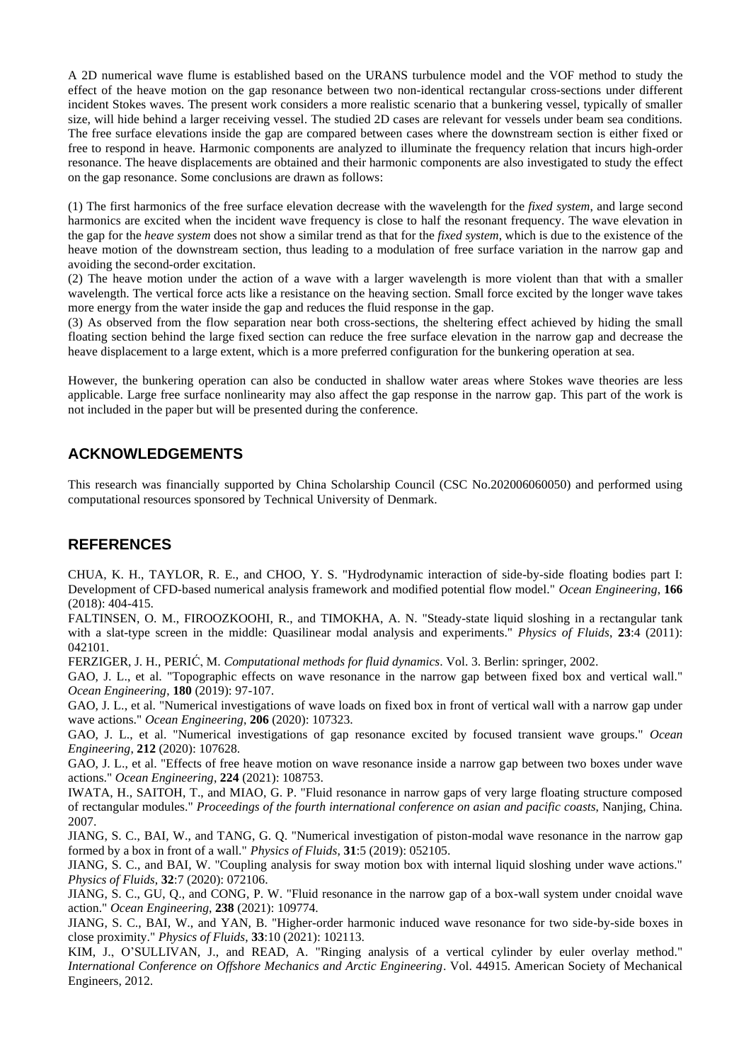A 2D numerical wave flume is established based on the URANS turbulence model and the VOF method to study the effect of the heave motion on the gap resonance between two non-identical rectangular cross-sections under different incident Stokes waves. The present work considers a more realistic scenario that a bunkering vessel, typically of smaller size, will hide behind a larger receiving vessel. The studied 2D cases are relevant for vessels under beam sea conditions. The free surface elevations inside the gap are compared between cases where the downstream section is either fixed or free to respond in heave. Harmonic components are analyzed to illuminate the frequency relation that incurs high-order resonance. The heave displacements are obtained and their harmonic components are also investigated to study the effect on the gap resonance. Some conclusions are drawn as follows:

(1) The first harmonics of the free surface elevation decrease with the wavelength for the *fixed system*, and large second harmonics are excited when the incident wave frequency is close to half the resonant frequency. The wave elevation in the gap for the *heave system* does not show a similar trend as that for the *fixed system*, which is due to the existence of the heave motion of the downstream section, thus leading to a modulation of free surface variation in the narrow gap and avoiding the second-order excitation.

(2) The heave motion under the action of a wave with a larger wavelength is more violent than that with a smaller wavelength. The vertical force acts like a resistance on the heaving section. Small force excited by the longer wave takes more energy from the water inside the gap and reduces the fluid response in the gap.

(3) As observed from the flow separation near both cross-sections, the sheltering effect achieved by hiding the small floating section behind the large fixed section can reduce the free surface elevation in the narrow gap and decrease the heave displacement to a large extent, which is a more preferred configuration for the bunkering operation at sea.

However, the bunkering operation can also be conducted in shallow water areas where Stokes wave theories are less applicable. Large free surface nonlinearity may also affect the gap response in the narrow gap. This part of the work is not included in the paper but will be presented during the conference.

# **ACKNOWLEDGEMENTS**

This research was financially supported by China Scholarship Council (CSC No.202006060050) and performed using computational resources sponsored by Technical University of Denmark.

# **REFERENCES**

CHUA, K. H., TAYLOR, R. E., and CHOO, Y. S. "Hydrodynamic interaction of side-by-side floating bodies part I: Development of CFD-based numerical analysis framework and modified potential flow model." *Ocean Engineering*, **166** (2018): 404-415.

FALTINSEN, O. M., FIROOZKOOHI, R., and TIMOKHA, A. N. "Steady-state liquid sloshing in a rectangular tank with a slat-type screen in the middle: Quasilinear modal analysis and experiments." *Physics of Fluids*, 23:4 (2011): 042101.

FERZIGER, J. H., PERIĆ, M. *Computational methods for fluid dynamics*. Vol. 3. Berlin: springer, 2002.

GAO, J. L., et al. "Topographic effects on wave resonance in the narrow gap between fixed box and vertical wall." *Ocean Engineering*, **180** (2019): 97-107.

GAO, J. L., et al. "Numerical investigations of wave loads on fixed box in front of vertical wall with a narrow gap under wave actions." *Ocean Engineering*, **206** (2020): 107323.

GAO, J. L., et al. "Numerical investigations of gap resonance excited by focused transient wave groups." *Ocean Engineering*, **212** (2020): 107628.

GAO, J. L., et al. "Effects of free heave motion on wave resonance inside a narrow gap between two boxes under wave actions." *Ocean Engineering*, **224** (2021): 108753.

IWATA, H., SAITOH, T., and MIAO, G. P. "Fluid resonance in narrow gaps of very large floating structure composed of rectangular modules." *Proceedings of the fourth international conference on asian and pacific coasts*, Nanjing, China. 2007.

JIANG, S. C., BAI, W., and TANG, G. Q. "Numerical investigation of piston-modal wave resonance in the narrow gap formed by a box in front of a wall." *Physics of Fluids*, **31**:5 (2019): 052105.

JIANG, S. C., and BAI, W. "Coupling analysis for sway motion box with internal liquid sloshing under wave actions." *Physics of Fluids*, **32**:7 (2020): 072106.

JIANG, S. C., GU, Q., and CONG, P. W. "Fluid resonance in the narrow gap of a box-wall system under cnoidal wave action." *Ocean Engineering*, **238** (2021): 109774.

JIANG, S. C., BAI, W., and YAN, B. "Higher-order harmonic induced wave resonance for two side-by-side boxes in close proximity." *Physics of Fluids*, **33**:10 (2021): 102113.

KIM, J., O'SULLIVAN, J., and READ, A. "Ringing analysis of a vertical cylinder by euler overlay method." *International Conference on Offshore Mechanics and Arctic Engineering*. Vol. 44915. American Society of Mechanical Engineers, 2012.